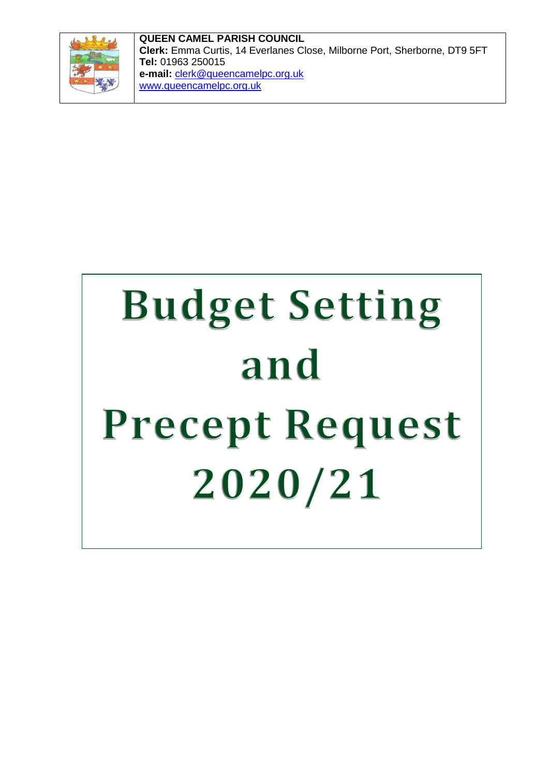

**QUEEN CAMEL PARISH COUNCIL Clerk:** Emma Curtis, 14 Everlanes Close, Milborne Port, Sherborne, DT9 5FT **Tel:** 01963 250015 **e-mail:** clerk@queencamelpc.org.uk [www.queencamelpc.org.uk](http://www.queencamelpc.org.uk/)

# **Budget Setting** and Precept Request 2020/21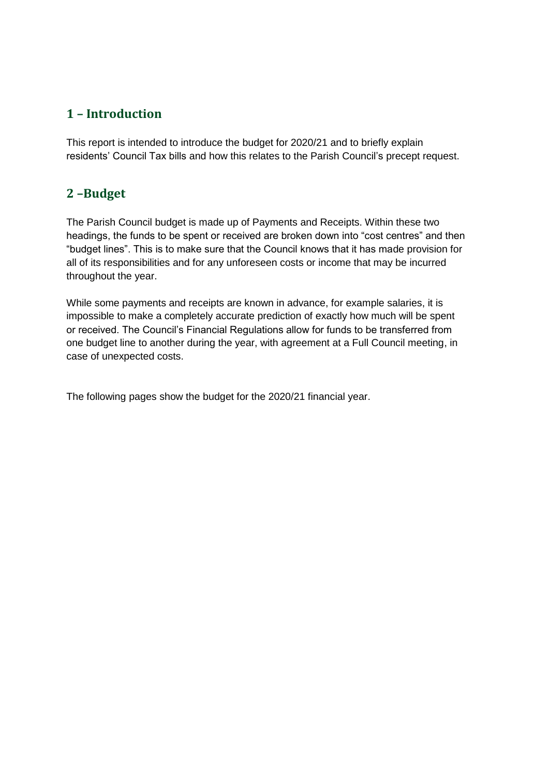### **1 – Introduction**

This report is intended to introduce the budget for 2020/21 and to briefly explain residents' Council Tax bills and how this relates to the Parish Council's precept request.

#### **2 –Budget**

The Parish Council budget is made up of Payments and Receipts. Within these two headings, the funds to be spent or received are broken down into "cost centres" and then "budget lines". This is to make sure that the Council knows that it has made provision for all of its responsibilities and for any unforeseen costs or income that may be incurred throughout the year.

While some payments and receipts are known in advance, for example salaries, it is impossible to make a completely accurate prediction of exactly how much will be spent or received. The Council's Financial Regulations allow for funds to be transferred from one budget line to another during the year, with agreement at a Full Council meeting, in case of unexpected costs.

The following pages show the budget for the 2020/21 financial year.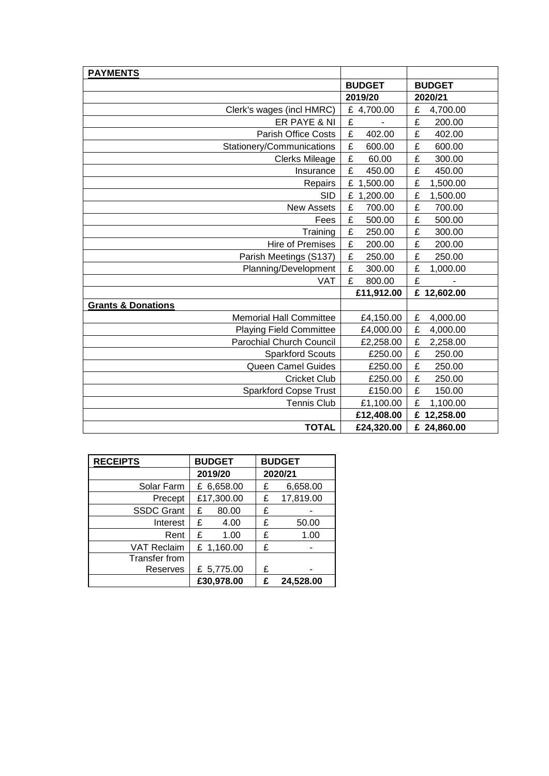| <b>PAYMENTS</b>                 |               |               |
|---------------------------------|---------------|---------------|
|                                 | <b>BUDGET</b> | <b>BUDGET</b> |
|                                 | 2019/20       | 2020/21       |
| Clerk's wages (incl HMRC)       | £ 4,700.00    | £<br>4,700.00 |
| ER PAYE & NI                    | £             | £<br>200.00   |
| <b>Parish Office Costs</b>      | £<br>402.00   | £<br>402.00   |
| Stationery/Communications       | £<br>600.00   | £<br>600.00   |
| <b>Clerks Mileage</b>           | £<br>60.00    | £<br>300.00   |
| Insurance                       | £<br>450.00   | £<br>450.00   |
| Repairs                         | £<br>1,500.00 | £<br>1,500.00 |
| <b>SID</b>                      | £<br>1,200.00 | £<br>1,500.00 |
| <b>New Assets</b>               | £<br>700.00   | £<br>700.00   |
| Fees                            | £<br>500.00   | £<br>500.00   |
| Training                        | £<br>250.00   | £<br>300.00   |
| <b>Hire of Premises</b>         | £<br>200.00   | £<br>200.00   |
| Parish Meetings (S137)          | £<br>250.00   | £<br>250.00   |
| Planning/Development            | £<br>300.00   | £<br>1,000.00 |
| <b>VAT</b>                      | £<br>800.00   | £             |
|                                 | £11,912.00    | £ 12,602.00   |
| <b>Grants &amp; Donations</b>   |               |               |
| <b>Memorial Hall Committee</b>  | £4,150.00     | £<br>4,000.00 |
| <b>Playing Field Committee</b>  | £4,000.00     | £<br>4,000.00 |
| <b>Parochial Church Council</b> | £2,258.00     | £<br>2,258.00 |
| <b>Sparkford Scouts</b>         | £250.00       | £<br>250.00   |
| Queen Camel Guides              | £250.00       | £<br>250.00   |
| <b>Cricket Club</b>             | £250.00       | £<br>250.00   |
| <b>Sparkford Copse Trust</b>    | £150.00       | £<br>150.00   |
| <b>Tennis Club</b>              | £1,100.00     | £<br>1,100.00 |
|                                 | £12,408.00    | £ 12,258.00   |
| <b>TOTAL</b>                    | £24,320.00    | £ 24,860.00   |

| <b>RECEIPTS</b>      | <b>BUDGET</b> | <b>BUDGET</b>  |
|----------------------|---------------|----------------|
|                      | 2019/20       | 2020/21        |
| Solar Farm           | £ 6,658.00    | 6,658.00<br>£  |
| Precept              | £17,300.00    | 17,819.00<br>£ |
| <b>SSDC Grant</b>    | £<br>80.00    | £              |
| Interest             | 4.00<br>£     | £<br>50.00     |
| Rent                 | £<br>1.00     | £<br>1.00      |
| <b>VAT Reclaim</b>   | £ 1,160.00    | £              |
| <b>Transfer from</b> |               |                |
| <b>Reserves</b>      | £ 5,775.00    | £              |
|                      | £30,978.00    | 24,528.00<br>£ |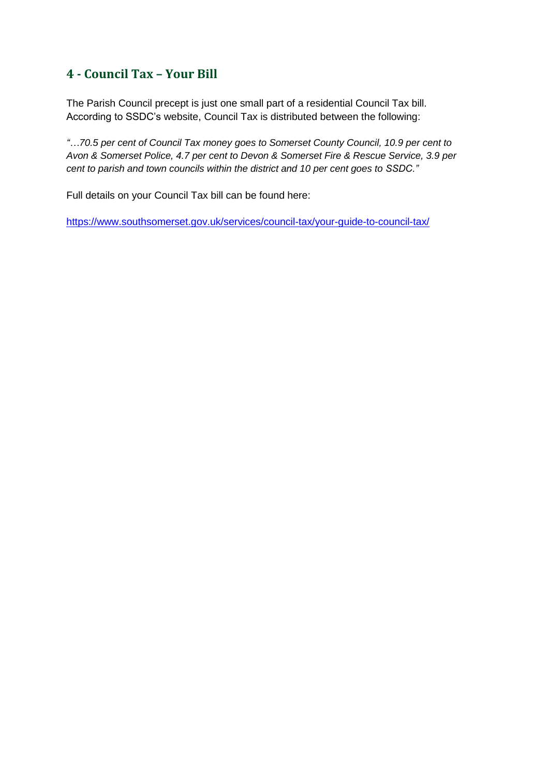#### **4 - Council Tax – Your Bill**

The Parish Council precept is just one small part of a residential Council Tax bill. According to SSDC's website, Council Tax is distributed between the following:

*"…70.5 per cent of Council Tax money goes to Somerset County Council, 10.9 per cent to Avon & Somerset Police, 4.7 per cent to Devon & Somerset Fire & Rescue Service, 3.9 per cent to parish and town councils within the district and 10 per cent goes to SSDC."*

Full details on your Council Tax bill can be found here:

https://www.southsomerset.gov.uk/services/council-tax/your-guide-to-council-tax/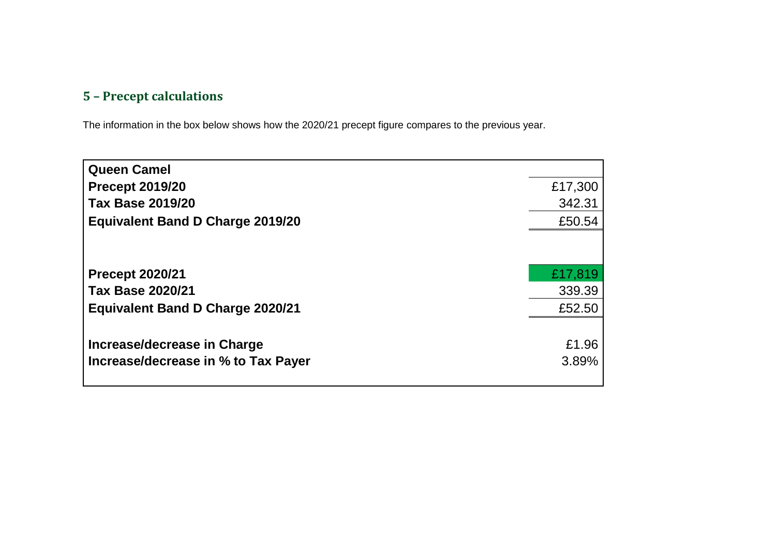## **5 – Precept calculations**

The information in the box below shows how the 2020/21 precept figure compares to the previous year.

| <b>Queen Camel</b>                      |         |
|-----------------------------------------|---------|
| <b>Precept 2019/20</b>                  | £17,300 |
| <b>Tax Base 2019/20</b>                 | 342.31  |
| <b>Equivalent Band D Charge 2019/20</b> | £50.54  |
|                                         |         |
| <b>Precept 2020/21</b>                  | £17,819 |
| <b>Tax Base 2020/21</b>                 | 339.39  |
| <b>Equivalent Band D Charge 2020/21</b> | £52.50  |
|                                         |         |
| Increase/decrease in Charge             | £1.96   |
| Increase/decrease in % to Tax Payer     | 3.89%   |
|                                         |         |